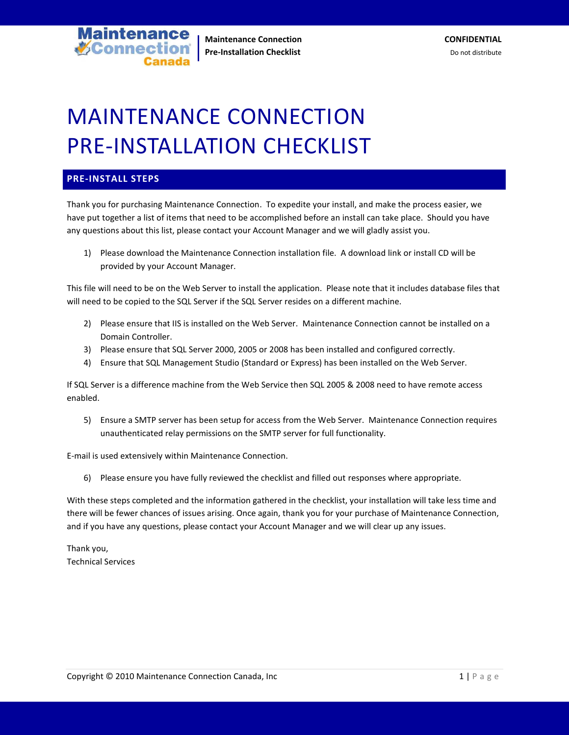

## MAINTENANCE CONNECTION PRE-INSTALLATION CHECKLIST

## **PRE-INSTALL STEPS**

Thank you for purchasing Maintenance Connection. To expedite your install, and make the process easier, we have put together a list of items that need to be accomplished before an install can take place. Should you have any questions about this list, please contact your Account Manager and we will gladly assist you.

1) Please download the Maintenance Connection installation file. A download link or install CD will be provided by your Account Manager.

This file will need to be on the Web Server to install the application. Please note that it includes database files that will need to be copied to the SQL Server if the SQL Server resides on a different machine.

- 2) Please ensure that IIS is installed on the Web Server. Maintenance Connection cannot be installed on a Domain Controller.
- 3) Please ensure that SQL Server 2000, 2005 or 2008 has been installed and configured correctly.
- 4) Ensure that SQL Management Studio (Standard or Express) has been installed on the Web Server.

If SQL Server is a difference machine from the Web Service then SQL 2005 & 2008 need to have remote access enabled.

5) Ensure a SMTP server has been setup for access from the Web Server. Maintenance Connection requires unauthenticated relay permissions on the SMTP server for full functionality.

E-mail is used extensively within Maintenance Connection.

6) Please ensure you have fully reviewed the checklist and filled out responses where appropriate.

With these steps completed and the information gathered in the checklist, your installation will take less time and there will be fewer chances of issues arising. Once again, thank you for your purchase of Maintenance Connection, and if you have any questions, please contact your Account Manager and we will clear up any issues.

Thank you, Technical Services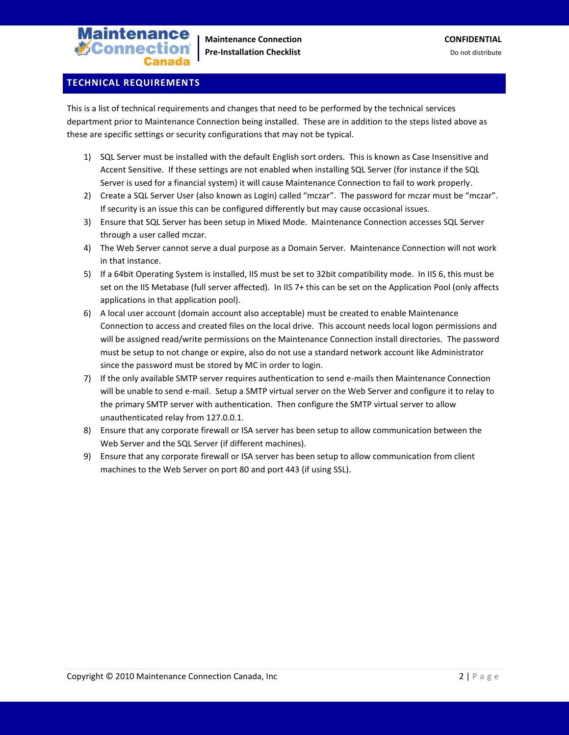

## **TECHNICAL REQUIREMENTS**

This is a list of technical requirements and changes that need to be performed by the technical services department prior to Maintenance Connection being installed. These are in addition to the steps listed above as these are specific settings or security configurations that may not be typical.

- 1) SQL Server must be installed with the default English sort orders. This is known as Case Insensitive and Accent Sensitive. If these settings are not enabled when installing SQL Server (for instance if the SQL Server is used for a financial system) it will cause Maintenance Connection to fail to work properly.
- 2) Create a SQL Server User (also known as Login) called "mczar". The password for mczar must be "mczar". If security is an issue this can be configured differently but may cause occasional issues.
- 3) Ensure that SQL Server has been setup in Mixed Mode. Maintenance Connection accesses SQL Server through a user called mczar.
- 4) The Web Server cannot serve a dual purpose as a Domain Server. Maintenance Connection will not work in that instance.
- 5) If a 64bit Operating System is installed, IIS must be set to 32bit compatibility mode. In IIS 6, this must be set on the IIS Metabase (full server affected). In IIS 7+ this can be set on the Application Pool (only affects applications in that application pool).
- 6) A local user account (domain account also acceptable) must be created to enable Maintenance Connection to access and created files on the local drive. This account needs local logon permissions and will be assigned read/write permissions on the Maintenance Connection install directories. The password must be setup to not change or expire, also do not use a standard network account like Administrator since the password must be stored by MC in order to login.
- 7) If the only available SMTP server requires authentication to send e-mails then Maintenance Connection will be unable to send e-mail. Setup a SMTP virtual server on the Web Server and configure it to relay to the primary SMTP server with authentication. Then configure the SMTP virtual server to allow unauthenticated relay from 127.0.0.1.
- 8) Ensure that any corporate firewall or ISA server has been setup to allow communication between the Web Server and the SQL Server (if different machines).
- 9) Ensure that any corporate firewall or ISA server has been setup to allow communication from client machines to the Web Server on port 80 and port 443 (if using SSL).